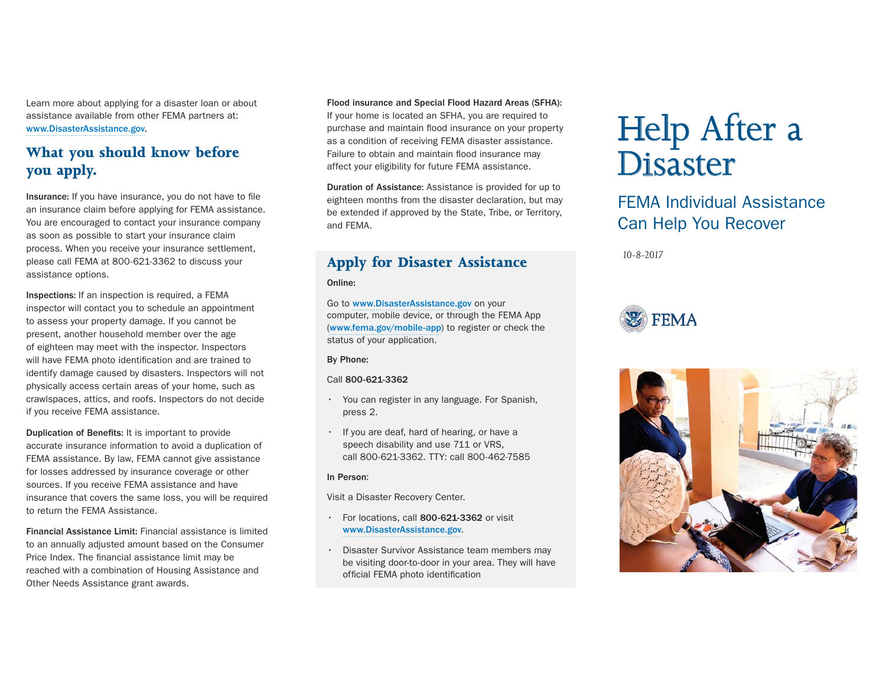Learn more about applying for a disaster loan or about assistance available from other FEMA partners at: www.DisasterAssistance.gov.

# **What you should know before you apply.**

Insurance: If you have insurance, you do not have to file an insurance claim before applying for FEMA assistance. You are encouraged to contact your insurance company as soon as possible to start your insurance claim process. When you receive your insurance settlement, please call FEMA at 800-621-3362 to discuss your assistance options.

Inspections: If an inspection is required, a FEMA inspector will contact you to schedule an appointment to assess your property damage. If you cannot be present, another household member over the age of eighteen may meet with the inspector. Inspectors will have FEMA photo identification and are trained to identify damage caused by disasters. Inspectors will not physically access certain areas of your home, such as crawlspaces, attics, and roofs. Inspectors do not decide if you receive FEMA assistance.

Duplication of Benefits: It is important to provide accurate insurance information to avoid a duplication of FEMA assistance. By law, FEMA cannot give assistance for losses addressed by insurance coverage or other sources. If you receive FEMA assistance and have insurance that covers the same loss, you will be required to return the FEMA Assistance.

Financial Assistance Limit: Financial assistance is limited to an annually adjusted amount based on the Consumer Price Index. The financial assistance limit may be reached with a combination of Housing Assistance and Other Needs Assistance grant awards.

Flood insurance and Special Flood Hazard Areas (SFHA): If your home is located an SFHA, you are required to purchase and maintain flood insurance on your property as a condition of receiving FEMA disaster assistance. Failure to obtain and maintain flood insurance may affect your eligibility for future FEMA assistance.

Duration of Assistance: Assistance is provided for up to eighteen months from the disaster declaration, but may be extended if approved by the State, Tribe, or Territory, and FEMA.

# **Apply for Disaster Assistance**

#### Online:

Go to www.DisasterAssistance.gov on your computer, mobile device, or through the FEMA App (www.fema.gov/mobile-app) to register or check the status of your application.

By Phone:

#### Call 800-621-3362

- You can register in any language. For Spanish, press 2.
- If you are deaf, hard of hearing, or have a speech disability and use 711 or VRS, call 800-621-3362. TTY: call 800-462-7585

#### In Person:

Visit a Disaster Recovery Center.

- For locations, call 800-621-3362 or visit www.DisasterAssistance.gov.
- Disaster Survivor Assistance team members may be visiting door-to-door in your area. They will have official FEMA photo identification

# Help After a Disaster

# FEMA Individual Assistance Can Help You Recover

*10-8-2017*